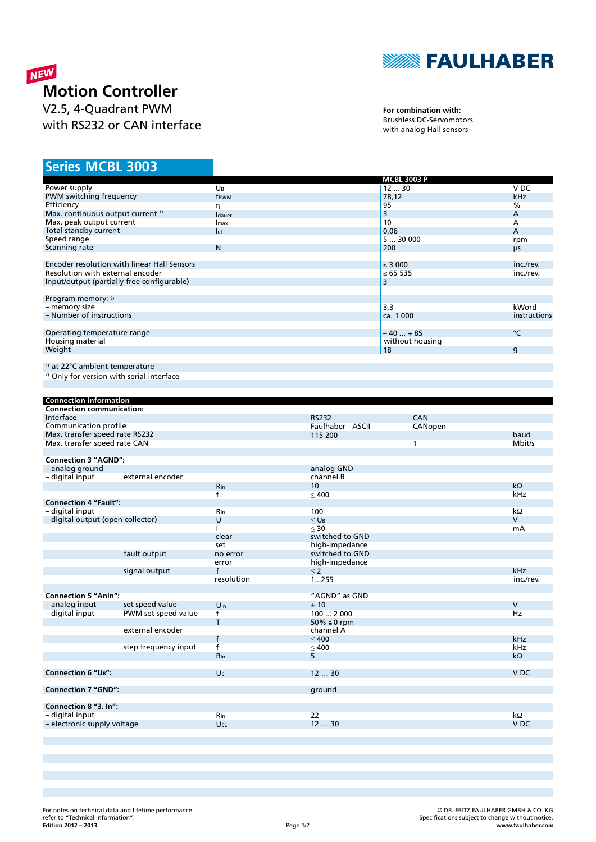

## NEW **Motion Controller**

V2.5, 4-Quadrant PWM with RS232 or CAN interface

**For combination with:** Brushless DC-Servomotors with analog Hall sensors

## **MCBL 3003 Series**

|                                              |                | <b>MCBL 3003 P</b> |               |
|----------------------------------------------|----------------|--------------------|---------------|
| Power supply                                 | UB             | 1230               | V DC          |
| PWM switching frequency                      | frwm           | 78,12              | kHz           |
| Efficiency                                   | η              | 95                 | $\frac{0}{0}$ |
| Max. continuous output current <sup>1)</sup> | <b>I</b> dauer | 3                  | A             |
| Max. peak output current                     | Imax           | 10                 | А             |
| Total standby current                        | lel            | 0,06               | A             |
| Speed range                                  |                | 530000             | rpm           |
| Scanning rate                                | N              | 200                | μs            |
|                                              |                |                    |               |
| Encoder resolution with linear Hall Sensors  |                | $\leq$ 3 000       | inc./rev.     |
| Resolution with external encoder             |                | ≤ 65 535           | inc./rev.     |
| Input/output (partially free configurable)   |                | 3                  |               |
|                                              |                |                    |               |
| Program memory: 2)                           |                |                    |               |
| - memory size                                |                | 3,3                | kWord         |
| - Number of instructions                     |                | ca. 1 000          | instructions  |
|                                              |                |                    |               |
| Operating temperature range                  |                | $-40+85$           | °C            |
| Housing material                             |                | without housing    |               |
| Weight                                       |                | 18                 | g             |
|                                              |                |                    |               |
| <sup>1)</sup> at 22°C ambient temperature    |                |                    |               |

<sup>2)</sup> Only for version with serial interface

| <b>Connection information</b>     |                      |                 |                        |         |                 |
|-----------------------------------|----------------------|-----------------|------------------------|---------|-----------------|
| <b>Connection communication:</b>  |                      |                 |                        |         |                 |
| Interface                         |                      |                 | <b>RS232</b>           | CAN     |                 |
| Communication profile             |                      |                 | Faulhaber - ASCII      | CANopen |                 |
| Max. transfer speed rate RS232    |                      |                 | 115 200                |         | baud            |
| Max. transfer speed rate CAN      |                      |                 |                        | 1       | Mbit/s          |
|                                   |                      |                 |                        |         |                 |
| <b>Connection 3 "AGND":</b>       |                      |                 |                        |         |                 |
| - analog ground                   |                      |                 | analog GND             |         |                 |
| - digital input                   | external encoder     |                 | channel B              |         |                 |
|                                   |                      | $R_{\ln}$       | 10                     |         | $k\Omega$       |
|                                   |                      | f               | < 400                  |         | kHz             |
| <b>Connection 4 "Fault":</b>      |                      |                 |                        |         |                 |
| - digital input                   |                      | <b>R</b> In     | 100                    |         | $k\Omega$       |
| - digital output (open collector) |                      | U               | $<$ U <sub>B</sub>     |         | $\mathsf{V}$    |
|                                   |                      |                 | $<$ 30                 |         | mA              |
|                                   |                      | clear           | switched to GND        |         |                 |
|                                   |                      | set             | high-impedance         |         |                 |
|                                   | fault output         | no error        | switched to GND        |         |                 |
|                                   |                      | error           | high-impedance         |         |                 |
|                                   | signal output        | $\mathsf{f}$    | $\leq 2$               |         | kHz             |
|                                   |                      | resolution      | 1255                   |         | inc./rev.       |
|                                   |                      |                 |                        |         |                 |
| <b>Connection 5 "Anln":</b>       |                      |                 | "AGND" as GND          |         |                 |
| - analog input                    | set speed value      | $U_{\text{In}}$ | ± 10                   |         | $\mathsf{V}$    |
| - digital input                   | PWM set speed value  | f               | 1002000                |         | Hz              |
|                                   |                      | T               | 50% $\triangleq$ 0 rpm |         |                 |
|                                   | external encoder     |                 | channel A              |         |                 |
|                                   |                      | $\mathsf{f}$    | < 400                  |         | kHz             |
|                                   | step frequency input | $\overline{f}$  | $\leq 400$             |         | kHz             |
|                                   |                      | <b>R</b> In     | 5                      |         | $k\Omega$       |
|                                   |                      |                 |                        |         |                 |
| <b>Connection 6 "UB":</b>         |                      | UB              | 1230                   |         | V <sub>DC</sub> |
|                                   |                      |                 |                        |         |                 |
| <b>Connection 7 "GND":</b>        |                      |                 | ground                 |         |                 |
|                                   |                      |                 |                        |         |                 |
| Connection 8 "3. In":             |                      |                 |                        |         |                 |
| - digital input                   |                      | <b>R</b> In     | 22                     |         | $k\Omega$       |
| - electronic supply voltage       |                      | UEL             | 1230                   |         | V <sub>DC</sub> |
|                                   |                      |                 |                        |         |                 |